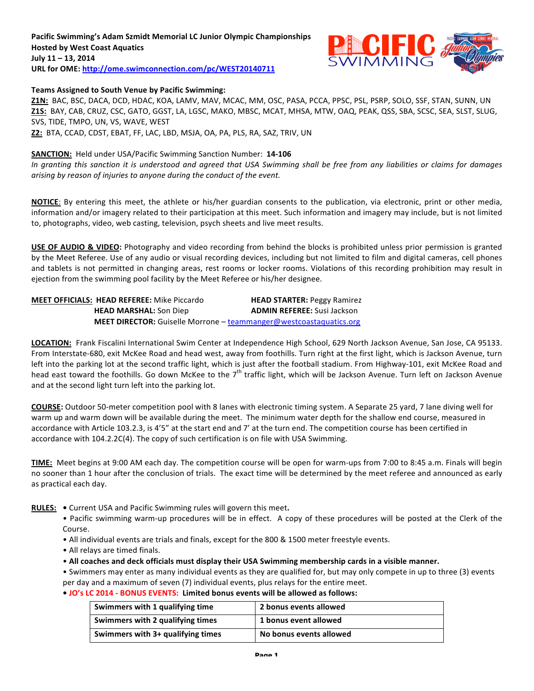### Pacific Swimming's Adam Szmidt Memorial LC Junior Olympic Championships **Hosted by West Coast Aquatics** July 11 - 13, 2014 URL for OME: http://ome.swimconnection.com/pc/WEST20140711



### Teams Assigned to South Venue by Pacific Swimming:

Z1N: BAC, BSC, DACA, DCD, HDAC, KOA, LAMV, MAV, MCAC, MM, OSC, PASA, PCCA, PPSC, PSL, PSRP, SOLO, SSF, STAN, SUNN, UN Z1S: BAY, CAB, CRUZ, CSC, GATO, GGST, LA, LGSC, MAKO, MBSC, MCAT, MHSA, MTW, OAQ, PEAK, QSS, SBA, SCSC, SEA, SLST, SLUG, SVS, TIDE, TMPO, UN, VS, WAVE, WEST **Z2:** BTA, CCAD, CDST, EBAT, FF, LAC, LBD, MSJA, OA, PA, PLS, RA, SAZ, TRIV, UN

### **SANCTION:** Held under USA/Pacific Swimming Sanction Number: 14-106

In granting this sanction it is understood and agreed that USA Swimming shall be free from any liabilities or claims for damages *arising by reason of injuries to anyone during the conduct of the event.* 

**NOTICE:** By entering this meet, the athlete or his/her guardian consents to the publication, via electronic, print or other media, information and/or imagery related to their participation at this meet. Such information and imagery may include, but is not limited to, photographs, video, web casting, television, psych sheets and live meet results.

USE OF AUDIO & VIDEO: Photography and video recording from behind the blocks is prohibited unless prior permission is granted by the Meet Referee. Use of any audio or visual recording devices, including but not limited to film and digital cameras, cell phones and tablets is not permitted in changing areas, rest rooms or locker rooms. Violations of this recording prohibition may result in ejection from the swimming pool facility by the Meet Referee or his/her designee.

| <b>MEET OFFICIALS: HEAD REFEREE:</b> Mike Piccardo | <b>HEAD STARTER: Peggy Ramirez</b>                                 |
|----------------------------------------------------|--------------------------------------------------------------------|
| <b>HEAD MARSHAL:</b> Son Diep                      | <b>ADMIN REFEREE:</b> Susi Jackson                                 |
|                                                    | MEET DIRECTOR: Guiselle Morrone - teammanger@westcoastaquatics.org |

LOCATION: Frank Fiscalini International Swim Center at Independence High School, 629 North Jackson Avenue, San Jose, CA 95133. From Interstate-680, exit McKee Road and head west, away from foothills. Turn right at the first light, which is Jackson Avenue, turn left into the parking lot at the second traffic light, which is just after the football stadium. From Highway-101, exit McKee Road and head east toward the foothills. Go down McKee to the  $7<sup>th</sup>$  traffic light, which will be Jackson Avenue. Turn left on Jackson Avenue and at the second light turn left into the parking lot.

**COURSE:** Outdoor 50-meter competition pool with 8 lanes with electronic timing system. A Separate 25 yard, 7 lane diving well for warm up and warm down will be available during the meet. The minimum water depth for the shallow end course, measured in accordance with Article 103.2.3, is 4'5" at the start end and 7' at the turn end. The competition course has been certified in accordance with 104.2.2C(4). The copy of such certification is on file with USA Swimming.

**TIME:** Meet begins at 9:00 AM each day. The competition course will be open for warm-ups from 7:00 to 8:45 a.m. Finals will begin no sooner than 1 hour after the conclusion of trials. The exact time will be determined by the meet referee and announced as early as practical each day.

RULES: . Current USA and Pacific Swimming rules will govern this meet.

• Pacific swimming warm-up procedures will be in effect. A copy of these procedures will be posted at the Clerk of the Course.

- All individual events are trials and finals, except for the 800 & 1500 meter freestyle events.
- All relays are timed finals.
- All coaches and deck officials must display their USA Swimming membership cards in a visible manner.

• Swimmers may enter as many individual events as they are qualified for, but may only compete in up to three (3) events per day and a maximum of seven (7) individual events, plus relays for the entire meet.

• **JO's LC 2014 - BONUS EVENTS: Limited bonus events will be allowed as follows:** 

| Swimmers with 1 qualifying time   | 2 bonus events allowed  |
|-----------------------------------|-------------------------|
| Swimmers with 2 qualifying times  | 1 bonus event allowed   |
| Swimmers with 3+ qualifying times | No bonus events allowed |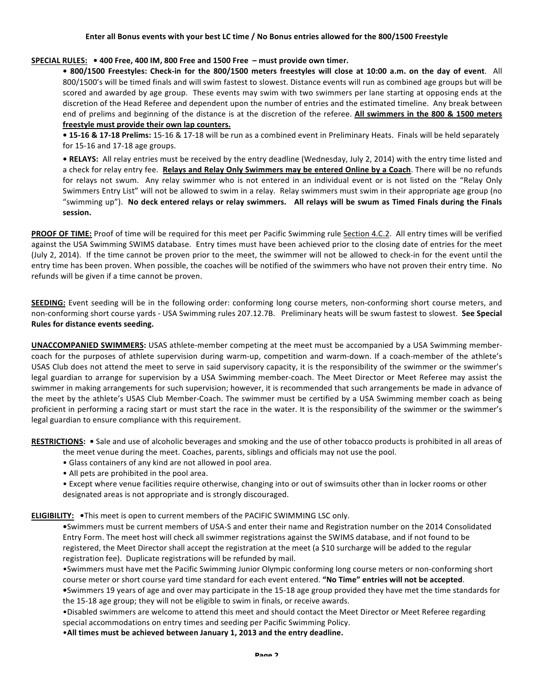### SPECIAL RULES: • 400 Free, 400 IM, 800 Free and 1500 Free - must provide own timer.

• 800/1500 Freestyles: Check-in for the 800/1500 meters freestyles will close at 10:00 a.m. on the day of event. All 800/1500's will be timed finals and will swim fastest to slowest. Distance events will run as combined age groups but will be scored and awarded by age group. These events may swim with two swimmers per lane starting at opposing ends at the discretion of the Head Referee and dependent upon the number of entries and the estimated timeline. Any break between end of prelims and beginning of the distance is at the discretion of the referee. All swimmers in the 800 & 1500 meters freestyle must provide their own lap counters.

• 15-16 & 17-18 Prelims: 15-16 & 17-18 will be run as a combined event in Preliminary Heats. Finals will be held separately for  $15-16$  and  $17-18$  age groups.

• RELAYS: All relay entries must be received by the entry deadline (Wednesday, July 2, 2014) with the entry time listed and a check for relay entry fee. **Relays and Relay Only Swimmers may be entered Online by a Coach**. There will be no refunds for relays not swum. Any relay swimmer who is not entered in an individual event or is not listed on the "Relay Only Swimmers Entry List" will not be allowed to swim in a relay. Relay swimmers must swim in their appropriate age group (no "swimming up"). No deck entered relays or relay swimmers. All relays will be swum as Timed Finals during the Finals **session.**

PROOF OF TIME: Proof of time will be required for this meet per Pacific Swimming rule Section 4.C.2. All entry times will be verified against the USA Swimming SWIMS database. Entry times must have been achieved prior to the closing date of entries for the meet (July 2, 2014). If the time cannot be proven prior to the meet, the swimmer will not be allowed to check-in for the event until the entry time has been proven. When possible, the coaches will be notified of the swimmers who have not proven their entry time. No refunds will be given if a time cannot be proven.

**SEEDING:** Event seeding will be in the following order: conforming long course meters, non-conforming short course meters, and non-conforming short course yards - USA Swimming rules 207.12.7B. Preliminary heats will be swum fastest to slowest. See Special **Rules for distance events seeding.** 

**UNACCOMPANIED SWIMMERS:** USAS athlete-member competing at the meet must be accompanied by a USA Swimming membercoach for the purposes of athlete supervision during warm-up, competition and warm-down. If a coach-member of the athlete's USAS Club does not attend the meet to serve in said supervisory capacity, it is the responsibility of the swimmer or the swimmer's legal guardian to arrange for supervision by a USA Swimming member-coach. The Meet Director or Meet Referee may assist the swimmer in making arrangements for such supervision; however, it is recommended that such arrangements be made in advance of the meet by the athlete's USAS Club Member-Coach. The swimmer must be certified by a USA Swimming member coach as being proficient in performing a racing start or must start the race in the water. It is the responsibility of the swimmer or the swimmer's legal guardian to ensure compliance with this requirement.

RESTRICTIONS: . Sale and use of alcoholic beverages and smoking and the use of other tobacco products is prohibited in all areas of the meet venue during the meet. Coaches, parents, siblings and officials may not use the pool.

- Glass containers of any kind are not allowed in pool area.
- All pets are prohibited in the pool area.

• Except where venue facilities require otherwise, changing into or out of swimsuits other than in locker rooms or other designated areas is not appropriate and is strongly discouraged.

**ELIGIBILITY:** . This meet is open to current members of the PACIFIC SWIMMING LSC only.

•Swimmers must be current members of USA-S and enter their name and Registration number on the 2014 Consolidated Entry Form. The meet host will check all swimmer registrations against the SWIMS database, and if not found to be registered, the Meet Director shall accept the registration at the meet (a \$10 surcharge will be added to the regular registration fee). Duplicate registrations will be refunded by mail.

•Swimmers must have met the Pacific Swimming Junior Olympic conforming long course meters or non-conforming short course meter or short course yard time standard for each event entered. "No Time" entries will not be accepted. • Swimmers 19 years of age and over may participate in the 15-18 age group provided they have met the time standards for

the 15-18 age group; they will not be eligible to swim in finals, or receive awards.

•Disabled swimmers are welcome to attend this meet and should contact the Meet Director or Meet Referee regarding special accommodations on entry times and seeding per Pacific Swimming Policy.

• All times must be achieved between January 1, 2013 and the entry deadline.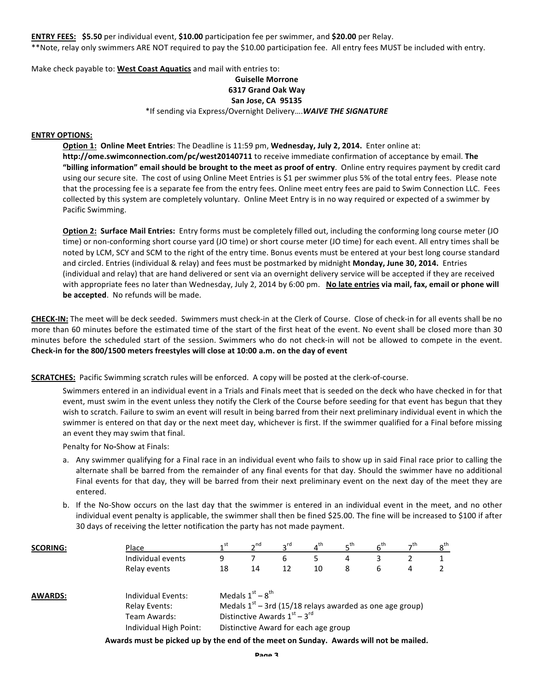**ENTRY FEES:** \$5.50 per individual event, \$10.00 participation fee per swimmer, and \$20.00 per Relay.

\*\*Note, relay only swimmers ARE NOT required to pay the \$10.00 participation fee. All entry fees MUST be included with entry.

Make check payable to: West Coast Aquatics and mail with entries to:

# **Guiselle Morrone**

# **6317 Grand Oak Way**

# **San Jose, CA 95135**

\*If sending via Express/Overnight Delivery.... WAIVE THE SIGNATURE

#### **ENTRY OPTIONS:**

**Option 1: Online Meet Entries**: The Deadline is 11:59 pm, Wednesday, July 2, 2014. Enter online at: http://ome.swimconnection.com/pc/west20140711 to receive immediate confirmation of acceptance by email. The "billing information" email should be brought to the meet as proof of entry. Online entry requires payment by credit card using our secure site. The cost of using Online Meet Entries is \$1 per swimmer plus 5% of the total entry fees. Please note that the processing fee is a separate fee from the entry fees. Online meet entry fees are paid to Swim Connection LLC. Fees collected by this system are completely voluntary. Online Meet Entry is in no way required or expected of a swimmer by Pacific Swimming.

**Option 2: Surface Mail Entries:** Entry forms must be completely filled out, including the conforming long course meter (JO time) or non-conforming short course yard (JO time) or short course meter (JO time) for each event. All entry times shall be noted by LCM, SCY and SCM to the right of the entry time. Bonus events must be entered at your best long course standard and circled. Entries (individual & relay) and fees must be postmarked by midnight Monday, June 30, 2014. Entries (individual and relay) that are hand delivered or sent via an overnight delivery service will be accepted if they are received with appropriate fees no later than Wednesday, July 2, 2014 by 6:00 pm. No late entries via mail, fax, email or phone will **be accepted**. No refunds will be made.

**CHECK-IN:** The meet will be deck seeded. Swimmers must check-in at the Clerk of Course. Close of check-in for all events shall be no more than 60 minutes before the estimated time of the start of the first heat of the event. No event shall be closed more than 30 minutes before the scheduled start of the session. Swimmers who do not check-in will not be allowed to compete in the event. Check-in for the 800/1500 meters freestyles will close at 10:00 a.m. on the day of event

**SCRATCHES:** Pacific Swimming scratch rules will be enforced. A copy will be posted at the clerk-of-course.

Swimmers entered in an individual event in a Trials and Finals meet that is seeded on the deck who have checked in for that event, must swim in the event unless they notify the Clerk of the Course before seeding for that event has begun that they wish to scratch. Failure to swim an event will result in being barred from their next preliminary individual event in which the swimmer is entered on that day or the next meet day, whichever is first. If the swimmer qualified for a Final before missing an event they may swim that final.

Penalty for No-Show at Finals:

- a. Any swimmer qualifying for a Final race in an individual event who fails to show up in said Final race prior to calling the alternate shall be barred from the remainder of any final events for that day. Should the swimmer have no additional Final events for that day, they will be barred from their next preliminary event on the next day of the meet they are entered.
- b. If the No-Show occurs on the last day that the swimmer is entered in an individual event in the meet, and no other individual event penalty is applicable, the swimmer shall then be fined \$25.00. The fine will be increased to \$100 if after 30 days of receiving the letter notification the party has not made payment.

| <b>SCORING:</b> | Place                                                                         | ⊿st                                                                                                                                                        | $\mathbf{a}$ <sup>nd</sup> | $2^{\text{rd}}$ | $4^{\text{th}}$ | $\mathsf{F}^{\mathsf{th}}$ | 6 <sup>th</sup> | —th | $8^{\sf th}$ |
|-----------------|-------------------------------------------------------------------------------|------------------------------------------------------------------------------------------------------------------------------------------------------------|----------------------------|-----------------|-----------------|----------------------------|-----------------|-----|--------------|
|                 | Individual events                                                             | 9                                                                                                                                                          |                            | 6               |                 | 4                          | 3               |     |              |
|                 | Relay events                                                                  | 18                                                                                                                                                         | 14                         | 12              | 10              | 8                          | 6               | 4   |              |
| <b>AWARDS:</b>  | Individual Events:<br>Relay Events:<br>Team Awards:<br>Individual High Point: | Medals $1st - 8th$<br>Medals $1st$ – 3rd (15/18 relays awarded as one age group)<br>Distinctive Awards $1st - 3rd$<br>Distinctive Award for each age group |                            |                 |                 |                            |                 |     |              |

Awards must be picked up by the end of the meet on Sunday. Awards will not be mailed.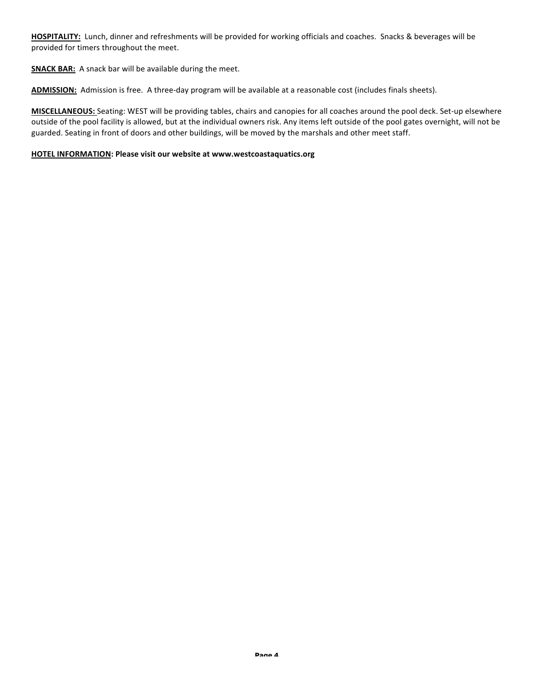HOSPITALITY: Lunch, dinner and refreshments will be provided for working officials and coaches. Snacks & beverages will be provided for timers throughout the meet.

**SNACK BAR:** A snack bar will be available during the meet.

ADMISSION: Admission is free. A three-day program will be available at a reasonable cost (includes finals sheets).

**MISCELLANEOUS:** Seating: WEST will be providing tables, chairs and canopies for all coaches around the pool deck. Set-up elsewhere outside of the pool facility is allowed, but at the individual owners risk. Any items left outside of the pool gates overnight, will not be guarded. Seating in front of doors and other buildings, will be moved by the marshals and other meet staff.

### **HOTEL INFORMATION: Please visit our website at www.westcoastaquatics.org**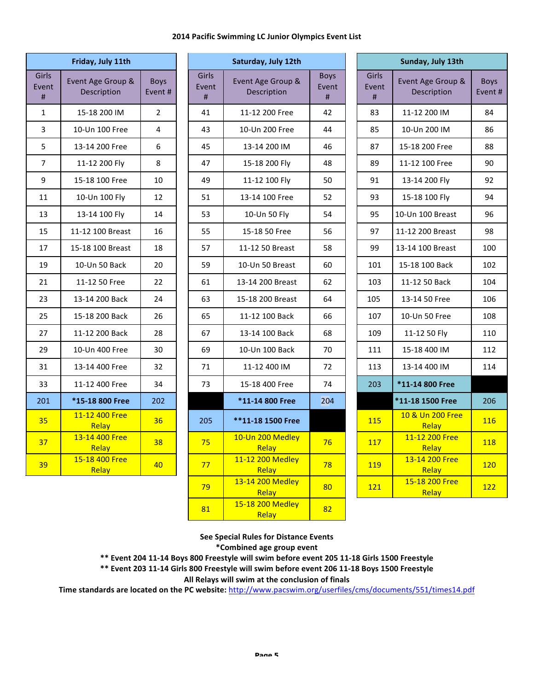#### **2014 Pacific Swimming LC Junior Olympics Event List**

| Friday, July 11th   |                                  |                        |  |  |
|---------------------|----------------------------------|------------------------|--|--|
| Girls<br>Event<br># | Event Age Group &<br>Description | <b>Boys</b><br>Event # |  |  |
| 1                   | 15-18 200 IM                     | $\overline{2}$         |  |  |
| 3                   | 10-Un 100 Free                   | 4                      |  |  |
| 5                   | 13-14 200 Free                   | 6                      |  |  |
| 7                   | 11-12 200 Fly                    | 8                      |  |  |
| 9                   | 15-18 100 Free                   | 10                     |  |  |
| 11                  | 10-Un 100 Fly                    | 12                     |  |  |
| 13                  | 13-14 100 Fly                    | 14                     |  |  |
| 15                  | 11-12 100 Breast                 | 16                     |  |  |
| 17                  | 15-18 100 Breast                 | 18                     |  |  |
| 19                  | 10-Un 50 Back                    | 20                     |  |  |
| 21                  | 11-12 50 Free                    | 22                     |  |  |
| 23                  | 13-14 200 Back                   | 24                     |  |  |
| 25                  | 15-18 200 Back                   | 26                     |  |  |
| 27                  | 11-12 200 Back                   | 28                     |  |  |
| 29                  | 10-Un 400 Free                   | 30                     |  |  |
| 31                  | 13-14 400 Free                   | 32                     |  |  |
| 33                  | 11-12 400 Free                   | 34                     |  |  |
| 201                 | *15-18 800 Free                  | 202                    |  |  |
| 35                  | 11-12 400 Free<br>Relay          | 36                     |  |  |
| 37                  | 13-14 400 Free<br>Relay          | 38                     |  |  |
| 39                  | 15-18 400 Free<br>Relay          | 40                     |  |  |

|                           | Friday, July 11th                |                       | Saturday, July 12th |                     |                                  |                                                       |                     | Sunday, July 13th                |               |
|---------------------------|----------------------------------|-----------------------|---------------------|---------------------|----------------------------------|-------------------------------------------------------|---------------------|----------------------------------|---------------|
| <b>Girls</b><br>vent<br># | Event Age Group &<br>Description | <b>Boys</b><br>Event# |                     | Girls<br>Event<br># | Event Age Group &<br>Description | <b>Boys</b><br>Event<br>$\sharp\hspace{-0.8em}\sharp$ | Girls<br>Event<br># | Event Age Group &<br>Description | Boy:<br>Event |
| $\mathbf{1}$              | 15-18 200 IM                     | $\overline{2}$        |                     | 41                  | 11-12 200 Free                   | 42                                                    | 83                  | 11-12 200 IM                     | 84            |
| 3                         | 10-Un 100 Free                   | 4                     |                     | 43                  | 10-Un 200 Free                   | 44                                                    | 85                  | 10-Un 200 IM                     | 86            |
| 5                         | 13-14 200 Free                   | 6                     |                     | 45                  | 13-14 200 IM                     | 46                                                    | 87                  | 15-18 200 Free                   | 88            |
| $\overline{7}$            | 11-12 200 Fly                    | 8                     |                     | 47                  | 15-18 200 Fly                    | 48                                                    | 89                  | 11-12 100 Free                   | 90            |
| 9                         | 15-18 100 Free                   | 10                    |                     | 49                  | 11-12 100 Fly                    | 50                                                    | 91                  | 13-14 200 Fly                    | 92            |
| 11                        | 10-Un 100 Fly                    | 12                    |                     | 51                  | 13-14 100 Free                   | 52                                                    | 93                  | 15-18 100 Fly                    | 94            |
| 13                        | 13-14 100 Fly                    | 14                    |                     | 53                  | 10-Un 50 Fly                     | 54                                                    | 95                  | 10-Un 100 Breast                 | 96            |
| 15                        | 11-12 100 Breast                 | 16                    |                     | 55                  | 15-18 50 Free                    | 56                                                    | 97                  | 11-12 200 Breast                 | 98            |
| 17                        | 15-18 100 Breast                 | 18                    |                     | 57                  | 11-12 50 Breast                  | 58                                                    | 99                  | 13-14 100 Breast                 | 100           |
| 19                        | 10-Un 50 Back                    | 20                    |                     | 59                  | 10-Un 50 Breast                  | 60                                                    | 101                 | 15-18 100 Back                   | 102           |
| 21                        | 11-12 50 Free                    | 22                    |                     | 61                  | 13-14 200 Breast                 | 62                                                    | 103                 | 11-12 50 Back                    | 104           |
| 23                        | 13-14 200 Back                   | 24                    |                     | 63                  | 15-18 200 Breast                 | 64                                                    | 105                 | 13-14 50 Free                    | 106           |
| 25                        | 15-18 200 Back                   | 26                    |                     | 65                  | 11-12 100 Back                   | 66                                                    | 107                 | 10-Un 50 Free                    | 108           |
| 27                        | 11-12 200 Back                   | 28                    |                     | 67                  | 13-14 100 Back                   | 68                                                    | 109                 | 11-12 50 Fly                     | 110           |
| 29                        | 10-Un 400 Free                   | 30                    |                     | 69                  | 10-Un 100 Back                   | 70                                                    | 111                 | 15-18 400 IM                     | 112           |
| 31                        | 13-14 400 Free                   | 32                    |                     | 71                  | 11-12 400 IM                     | 72                                                    | 113                 | 13-14 400 IM                     | 114           |
| 33                        | 11-12 400 Free                   | 34                    |                     | 73                  | 15-18 400 Free                   | 74                                                    | 203                 | *11-14 800 Free                  |               |
| 201                       | *15-18 800 Free                  | 202                   |                     |                     | *11-14 800 Free                  | 204                                                   |                     | *11-18 1500 Free                 | 206           |
| 35                        | 11-12 400 Free<br>Relay          | 36                    |                     | 205                 | **11-18 1500 Free                |                                                       | <b>115</b>          | 10 & Un 200 Free<br>Relay        | 116           |
| 37                        | 13-14 400 Free<br>Relay          | 38                    |                     | 75                  | 10-Un 200 Medley<br>Relay        | 76                                                    | 117                 | 11-12 200 Free<br>Relay          | <b>118</b>    |
| 39                        | 15-18 400 Free<br>Relay          | 40                    |                     | 77                  | 11-12 200 Medley<br>Relay        | 78                                                    | <b>119</b>          | 13-14 200 Free<br>Relay          | <u>120</u>    |
|                           |                                  |                       |                     | 79                  | 13-14 200 Medley<br>Relay        | 80                                                    | 121                 | 15-18 200 Free<br>Relay          | 122           |
|                           |                                  |                       |                     | 81                  | 15-18 200 Medley<br>Relay        | 82                                                    |                     |                                  |               |

| ay, July 12th                       |                           |  |                     | Sunday, July 13th                       |                        |
|-------------------------------------|---------------------------|--|---------------------|-----------------------------------------|------------------------|
| <b>Age Group &amp;</b><br>scription | <b>Boys</b><br>Event<br># |  | Girls<br>Event<br># | Event Age Group &<br><b>Description</b> | <b>Boys</b><br>Event # |
| 2 200 Free                          | 42                        |  | 83                  | 11-12 200 IM                            | 84                     |
| n 200 Free                          | 44                        |  | 85                  | 10-Un 200 IM                            | 86                     |
| 14 200 IM                           | 46                        |  | 87                  | 15-18 200 Free                          | 88                     |
| 8 200 Fly                           | 48                        |  | 89                  | 11-12 100 Free                          | 90                     |
| 2 100 Fly                           | 50                        |  | 91                  | 13-14 200 Fly                           | 92                     |
| 4 100 Free                          | 52                        |  | 93                  | 15-18 100 Fly                           | 94                     |
| Un 50 Fly                           | 54                        |  | 95                  | 10-Un 100 Breast                        | 96                     |
| 8 50 Free                           | 56                        |  | 97                  | 11-12 200 Breast                        | 98                     |
| 150 Breast                          | 58                        |  | 99                  | 13-14 100 Breast                        | 100                    |
| า 50 Breast                         | 60                        |  | 101                 | 15-18 100 Back                          | 102                    |
| 200 Breast                          | 62                        |  | 103                 | 11-12 50 Back                           | 104                    |
| 200 Breast                          | 64                        |  | 105                 | 13-14 50 Free                           | 106                    |
| 2 100 Back                          | 66                        |  | 107                 | 10-Un 50 Free                           | 108                    |
| 4 100 Back                          | 68                        |  | 109                 | 11-12 50 Fly                            | 110                    |
| n 100 Back                          | 70                        |  | 111                 | 15-18 400 IM                            | 112                    |
| 2 400 IM                            | 72                        |  | 113                 | 13-14 400 IM                            | 114                    |
| 8 400 Free                          | 74                        |  | 203                 | *11-14 800 Free                         |                        |
| 4800 Free                           | 204                       |  |                     | *11-18 1500 Free                        | 206                    |
| 8 1500 Free                         |                           |  | 115                 | 10 & Un 200 Free<br>Relay               | 116                    |
| 200 Medley<br>Relay                 | 76                        |  | 117                 | 11-12 200 Free<br>Relay                 | 118                    |
| 200 Medley<br>Relay                 | 78                        |  | 119                 | 13-14 200 Free<br>Relay                 | 120                    |
| 200 Medley<br>Relay                 | 80                        |  | 121                 | 15-18 200 Free<br>Relay                 | 122                    |

**See Special Rules for Distance Events**

**\*Combined age group event**

\*\* Event 204 11-14 Boys 800 Freestyle will swim before event 205 11-18 Girls 1500 Freestyle

\*\* Event 203 11-14 Girls 800 Freestyle will swim before event 206 11-18 Boys 1500 Freestyle

All Relays will swim at the conclusion of finals

Time standards are located on the PC website: http://www.pacswim.org/userfiles/cms/documents/551/times14.pdf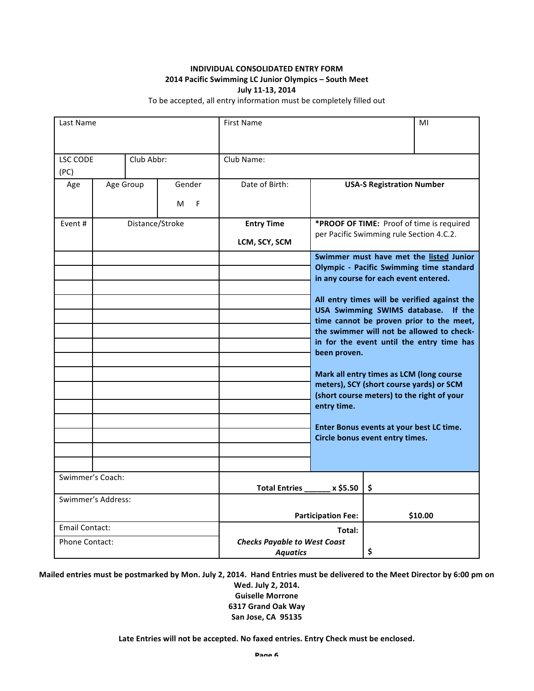# **INDIVIDUAL CONSOLIDATED ENTRY FORM 2014 Pacific Swimming LC Junior Olympics - South Meet July 11-13, 2014**

To be accepted, all entry information must be completely filled out

| Last Name               |                    |                       |                                    | <b>First Name</b>                                                                                                                                                                                                                                                                                                                                                                                                                                                                                                                                                                                      |                                                                                       | MI                               |
|-------------------------|--------------------|-----------------------|------------------------------------|--------------------------------------------------------------------------------------------------------------------------------------------------------------------------------------------------------------------------------------------------------------------------------------------------------------------------------------------------------------------------------------------------------------------------------------------------------------------------------------------------------------------------------------------------------------------------------------------------------|---------------------------------------------------------------------------------------|----------------------------------|
| <b>LSC CODE</b><br>(PC) |                    | Club Abbr:            |                                    | Club Name:                                                                                                                                                                                                                                                                                                                                                                                                                                                                                                                                                                                             |                                                                                       |                                  |
| Age                     |                    | Age Group             | Gender<br>M<br>F                   | Date of Birth:                                                                                                                                                                                                                                                                                                                                                                                                                                                                                                                                                                                         |                                                                                       | <b>USA-S Registration Number</b> |
| Fvent #                 | Distance/Stroke    |                       | <b>Entry Time</b><br>LCM, SCY, SCM |                                                                                                                                                                                                                                                                                                                                                                                                                                                                                                                                                                                                        | *PROOF OF TIME: Proof of time is required<br>per Pacific Swimming rule Section 4.C.2. |                                  |
|                         |                    |                       |                                    | Swimmer must have met the listed Junior<br>Olympic - Pacific Swimming time standard<br>in any course for each event entered.<br>All entry times will be verified against the<br>USA Swimming SWIMS database.<br>time cannot be proven prior to the meet,<br>the swimmer will not be allowed to check-<br>in for the event until the entry time has<br>been proven.<br>Mark all entry times as LCM (long course<br>meters), SCY (short course yards) or SCM<br>(short course meters) to the right of your<br>entry time.<br>Enter Bonus events at your best LC time.<br>Circle bonus event entry times. |                                                                                       |                                  |
| Swimmer's Coach:        |                    | <b>Total Entries</b>  | x \$5.50                           | \$                                                                                                                                                                                                                                                                                                                                                                                                                                                                                                                                                                                                     |                                                                                       |                                  |
|                         | Swimmer's Address: |                       | <b>Participation Fee:</b>          |                                                                                                                                                                                                                                                                                                                                                                                                                                                                                                                                                                                                        | \$10.00                                                                               |                                  |
| Email Contact:          |                    |                       |                                    | Total:                                                                                                                                                                                                                                                                                                                                                                                                                                                                                                                                                                                                 |                                                                                       |                                  |
|                         |                    | <b>Phone Contact:</b> |                                    | <b>Checks Payable to West Coast</b><br>\$<br><b>Aquatics</b>                                                                                                                                                                                                                                                                                                                                                                                                                                                                                                                                           |                                                                                       |                                  |

Mailed entries must be postmarked by Mon. July 2, 2014. Hand Entries must be delivered to the Meet Director by 6:00 pm on **Wed. July 2, 2014.**

**Guiselle Morrone 6317 Grand Oak Way San Jose, CA 95135**

Late Entries will not be accepted. No faxed entries. Entry Check must be enclosed.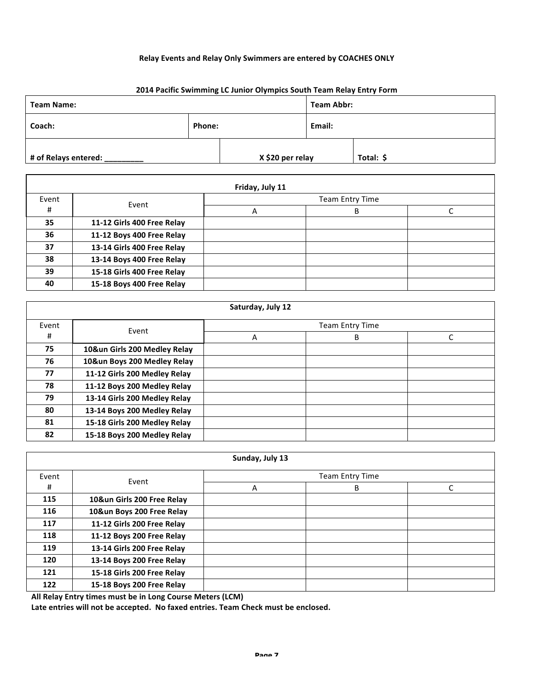# **Relay Events and Relay Only Swimmers are entered by COACHES ONLY**

### **2014 Pacific Swimming LC Junior Olympics South Team Relay Entry Form**

| Team Name:           |        |                  |        | Team Abbr: |  |
|----------------------|--------|------------------|--------|------------|--|
| Coach:               | Phone: |                  | Email: |            |  |
| # of Relays entered: |        | X \$20 per relay |        | Total: \$  |  |

| Friday, July 11 |                            |                 |   |  |  |  |
|-----------------|----------------------------|-----------------|---|--|--|--|
| Event           | Event                      | Team Entry Time |   |  |  |  |
| #               |                            | А               | B |  |  |  |
| 35              | 11-12 Girls 400 Free Relay |                 |   |  |  |  |
| 36              | 11-12 Boys 400 Free Relay  |                 |   |  |  |  |
| 37              | 13-14 Girls 400 Free Relay |                 |   |  |  |  |
| 38              | 13-14 Boys 400 Free Relay  |                 |   |  |  |  |
| 39              | 15-18 Girls 400 Free Relay |                 |   |  |  |  |
| 40              | 15-18 Boys 400 Free Relay  |                 |   |  |  |  |

| Saturday, July 12 |                              |                        |   |   |  |  |
|-------------------|------------------------------|------------------------|---|---|--|--|
| Event             | Event                        | <b>Team Entry Time</b> |   |   |  |  |
| #                 |                              | A                      | B | C |  |  |
| 75                | 10&un Girls 200 Medley Relay |                        |   |   |  |  |
| 76                | 10&un Boys 200 Medley Relay  |                        |   |   |  |  |
| 77                | 11-12 Girls 200 Medley Relay |                        |   |   |  |  |
| 78                | 11-12 Boys 200 Medley Relay  |                        |   |   |  |  |
| 79                | 13-14 Girls 200 Medley Relay |                        |   |   |  |  |
| 80                | 13-14 Boys 200 Medley Relay  |                        |   |   |  |  |
| 81                | 15-18 Girls 200 Medley Relay |                        |   |   |  |  |
| 82                | 15-18 Boys 200 Medley Relay  |                        |   |   |  |  |

|       | Sunday, July 13            |   |                        |   |  |  |  |
|-------|----------------------------|---|------------------------|---|--|--|--|
| Event | Event                      |   | <b>Team Entry Time</b> |   |  |  |  |
| #     |                            | Α | B                      | C |  |  |  |
| 115   | 10&un Girls 200 Free Relay |   |                        |   |  |  |  |
| 116   | 10&un Boys 200 Free Relay  |   |                        |   |  |  |  |
| 117   | 11-12 Girls 200 Free Relay |   |                        |   |  |  |  |
| 118   | 11-12 Boys 200 Free Relay  |   |                        |   |  |  |  |
| 119   | 13-14 Girls 200 Free Relay |   |                        |   |  |  |  |
| 120   | 13-14 Boys 200 Free Relay  |   |                        |   |  |  |  |
| 121   | 15-18 Girls 200 Free Relay |   |                        |   |  |  |  |
| 122   | 15-18 Boys 200 Free Relay  |   |                        |   |  |  |  |

All Relay Entry times must be in Long Course Meters (LCM)

 $\mathbf{r}$ 

Late entries will not be accepted. No faxed entries. Team Check must be enclosed.